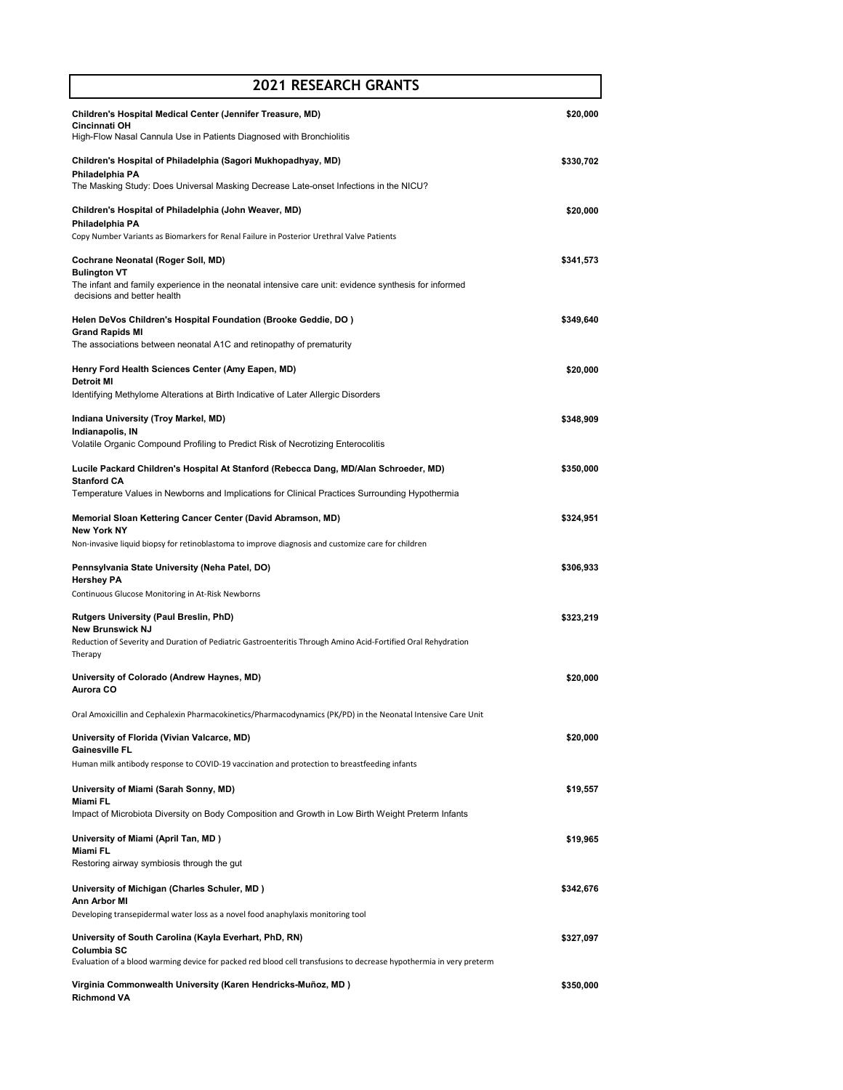| <b>2021 RESEARCH GRANTS</b>                                                                                                                                                                                                                                                               |           |
|-------------------------------------------------------------------------------------------------------------------------------------------------------------------------------------------------------------------------------------------------------------------------------------------|-----------|
| Children's Hospital Medical Center (Jennifer Treasure, MD)<br><b>Cincinnati OH</b><br>High-Flow Nasal Cannula Use in Patients Diagnosed with Bronchiolitis                                                                                                                                | \$20,000  |
| Children's Hospital of Philadelphia (Sagori Mukhopadhyay, MD)<br>Philadelphia PA<br>The Masking Study: Does Universal Masking Decrease Late-onset Infections in the NICU?                                                                                                                 | \$330,702 |
| Children's Hospital of Philadelphia (John Weaver, MD)<br>Philadelphia PA<br>Copy Number Variants as Biomarkers for Renal Failure in Posterior Urethral Valve Patients                                                                                                                     | \$20,000  |
| Cochrane Neonatal (Roger Soll, MD)<br><b>Bulington VT</b><br>The infant and family experience in the neonatal intensive care unit: evidence synthesis for informed                                                                                                                        | \$341,573 |
| decisions and better health<br>Helen DeVos Children's Hospital Foundation (Brooke Geddie, DO)<br><b>Grand Rapids MI</b><br>The associations between neonatal A1C and retinopathy of prematurity                                                                                           | \$349,640 |
| Henry Ford Health Sciences Center (Amy Eapen, MD)<br><b>Detroit MI</b>                                                                                                                                                                                                                    | \$20,000  |
| Identifying Methylome Alterations at Birth Indicative of Later Allergic Disorders<br>Indiana University (Troy Markel, MD)<br>Indianapolis, IN                                                                                                                                             | \$348,909 |
| Volatile Organic Compound Profiling to Predict Risk of Necrotizing Enterocolitis<br>Lucile Packard Children's Hospital At Stanford (Rebecca Dang, MD/Alan Schroeder, MD)<br><b>Stanford CA</b>                                                                                            | \$350,000 |
| Temperature Values in Newborns and Implications for Clinical Practices Surrounding Hypothermia<br>Memorial Sloan Kettering Cancer Center (David Abramson, MD)<br><b>New York NY</b><br>Non-invasive liquid biopsy for retinoblastoma to improve diagnosis and customize care for children | \$324,951 |
| Pennsylvania State University (Neha Patel, DO)<br><b>Hershey PA</b><br>Continuous Glucose Monitoring in At-Risk Newborns                                                                                                                                                                  | \$306,933 |
| <b>Rutgers University (Paul Breslin, PhD)</b><br><b>New Brunswick NJ</b><br>Reduction of Severity and Duration of Pediatric Gastroenteritis Through Amino Acid-Fortified Oral Rehydration<br>Therapy                                                                                      | \$323,219 |
| University of Colorado (Andrew Haynes, MD)<br>Aurora CO                                                                                                                                                                                                                                   | \$20,000  |
| Oral Amoxicillin and Cephalexin Pharmacokinetics/Pharmacodynamics (PK/PD) in the Neonatal Intensive Care Unit                                                                                                                                                                             |           |
| University of Florida (Vivian Valcarce, MD)<br><b>Gainesville FL</b><br>Human milk antibody response to COVID-19 vaccination and protection to breastfeeding infants                                                                                                                      | \$20,000  |
| University of Miami (Sarah Sonny, MD)<br><b>Miami FL</b><br>Impact of Microbiota Diversity on Body Composition and Growth in Low Birth Weight Preterm Infants                                                                                                                             | \$19,557  |
| University of Miami (April Tan, MD)<br><b>Miami FL</b><br>Restoring airway symbiosis through the gut                                                                                                                                                                                      | \$19,965  |
| University of Michigan (Charles Schuler, MD)<br>Ann Arbor MI<br>Developing transepidermal water loss as a novel food anaphylaxis monitoring tool                                                                                                                                          | \$342,676 |
| University of South Carolina (Kayla Everhart, PhD, RN)<br>Columbia SC                                                                                                                                                                                                                     | \$327,097 |
| Evaluation of a blood warming device for packed red blood cell transfusions to decrease hypothermia in very preterm<br>Virginia Commonwealth University (Karen Hendricks-Muñoz, MD)<br><b>Richmond VA</b>                                                                                 | \$350,000 |